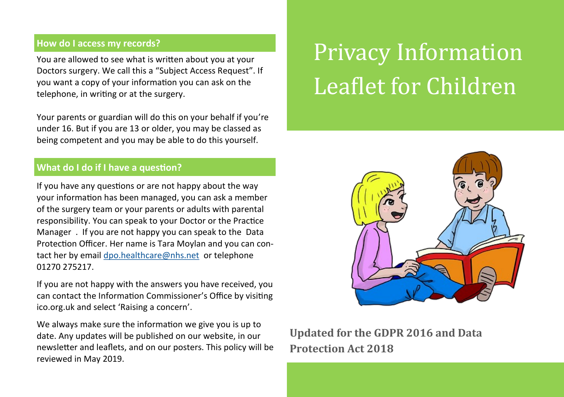# **How do I access my records?**

You are allowed to see what is written about you at your Doctors surgery. We call this a "Subject Access Request". If you want a copy of your information you can ask on the telephone, in writing or at the surgery.

Your parents or guardian will do this on your behalf if you're under 16. But if you are 13 or older, you may be classed as being competent and you may be able to do this yourself.

# **What do I do if I have a question?**

If you have any questions or are not happy about the way your information has been managed, you can ask a member of the surgery team or your parents or adults with parental responsibility. You can speak to your Doctor or the Practice Manager . If you are not happy you can speak to the Data Protection Officer. Her name is Tara Moylan and you can contact her by email [dpo.healthcare@nhs.net](mailto:dpo.healthcare@nhs.net) or telephone 01270 275217.

If you are not happy with the answers you have received, you can contact the Information Commissioner's Office by visiting ico.org.uk and select 'Raising a concern'.

We always make sure the information we give you is up to date. Any updates will be published on our website, in our newsletter and leaflets, and on our posters. This policy will be reviewed in May 2019.

# Privacy Information Leaflet for Children



# **Updated for the GDPR 2016 and Data Protection Act 2018**